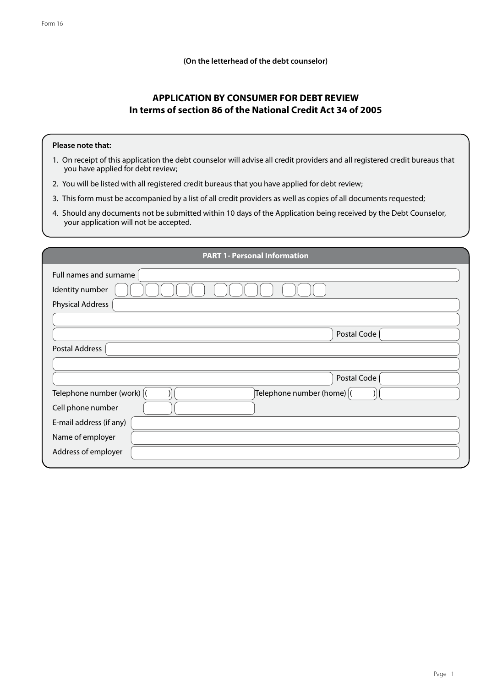**(On the letterhead of the debt counselor)**

## **APPLICATION BY CONSUMER FOR DEBT REVIEW In terms of section 86 of the National Credit Act 34 of 2005**

## **Please note that:**

- 1. On receipt of this application the debt counselor will advise all credit providers and all registered credit bureaus that you have applied for debt review;
- 2. You will be listed with all registered credit bureaus that you have applied for debt review;
- 3. This form must be accompanied by a list of all credit providers as well as copies of all documents requested;
- 4. Should any documents not be submitted within 10 days of the Application being received by the Debt Counselor, your application will not be accepted.

| <b>PART 1- Personal Information</b> |
|-------------------------------------|
| Full names and surname              |
| Identity number                     |
| <b>Physical Address</b>             |
|                                     |
| Postal Code                         |
| Postal Address                      |
|                                     |
| Postal Code                         |
| Telephone number (work) (           |
| Cell phone number                   |
| E-mail address (if any)             |
| Name of employer                    |
| Address of employer                 |
|                                     |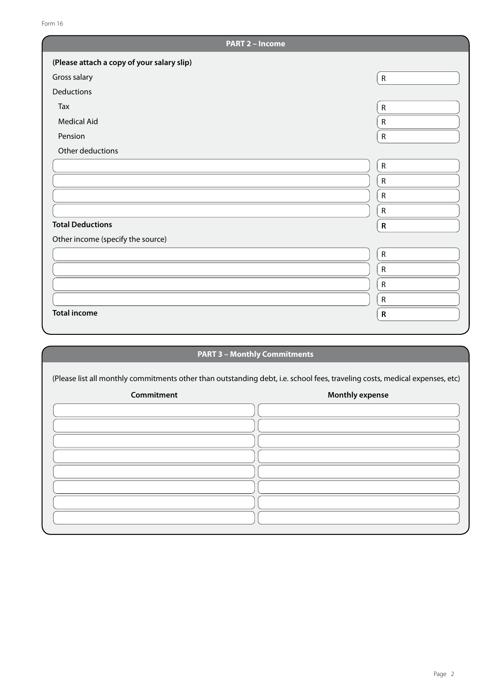| <b>PART 2 - Income</b>                     |              |
|--------------------------------------------|--------------|
| (Please attach a copy of your salary slip) |              |
| Gross salary                               | $\mathsf{R}$ |
| Deductions                                 |              |
| Tax                                        | ${\sf R}$    |
| <b>Medical Aid</b>                         | ${\sf R}$    |
| Pension                                    | ${\sf R}$    |
| Other deductions                           |              |
|                                            | ${\sf R}$    |
|                                            | ${\sf R}$    |
|                                            | ${\sf R}$    |
|                                            | ${\sf R}$    |
| <b>Total Deductions</b>                    | $\mathsf{R}$ |
| Other income (specify the source)          |              |
|                                            | ${\sf R}$    |
|                                            | ${\sf R}$    |
|                                            | ${\sf R}$    |
|                                            | ${\sf R}$    |
| <b>Total income</b>                        | ${\sf R}$    |
|                                            |              |
|                                            |              |

## **PART 3 – Monthly Commitments**

(Please list all monthly commitments other than outstanding debt, i.e. school fees, traveling costs, medical expenses, etc)

| Commitment | <b>Monthly expense</b> |
|------------|------------------------|
|            |                        |
|            |                        |
|            |                        |
|            |                        |
|            |                        |
|            |                        |
|            |                        |
|            |                        |
|            |                        |